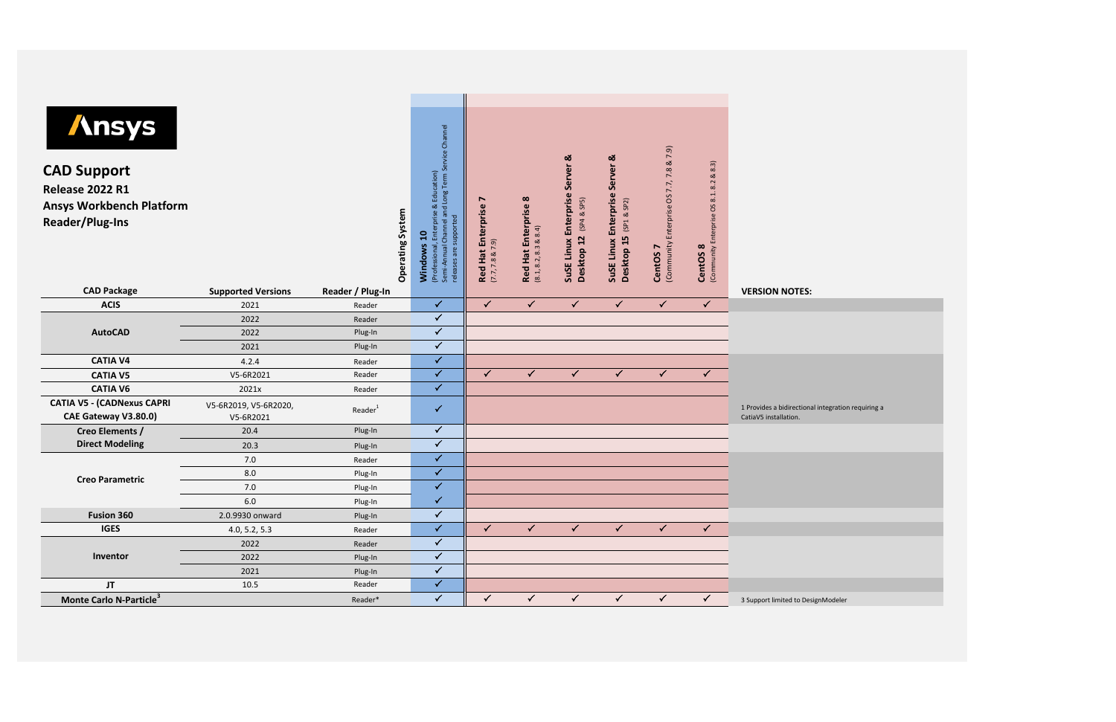| <b>Ansys</b><br><b>CAD Support</b><br><b>Release 2022 R1</b><br><b>Ansys Workbench Platform</b><br>Reader/Plug-Ins<br><b>CAD Package</b> | <b>Supported Versions</b>          | Operating System<br>Reader / Plug-In | Long Term Service Channel<br>Education)<br>త<br>and<br>Enterprise<br>supported<br>Channel<br>$\mathbf{a}$<br>Windows<br>(Professional,<br>Semi-Annual<br>releases are s | $\blacktriangleright$<br>Red Hat Enterprise<br>(7.7, 7.8 & 7.9) | $\infty$<br>prise<br><b>Red Hat Enter</b><br>$(8.1, 8.2, 8.3 \& 8.4)$ | ಹ<br><b>Server</b><br>Enterprise<br>(SP4 & SSP5)<br>Desktop 12<br>Linux<br>SuSE | ಹ<br>Server<br>Enterprise<br>$&$ SP2)<br>(5P1)<br>Desktop 15<br>SuSE Linux | & 7.9)<br>7.8<br>7.7,<br>Enterprise OS<br>(Community<br>CentOS <sub>7</sub> | (Community Enterprise OS 8.1. 8.2 & 8.3)<br>CentOS <sub>8</sub> | <b>VERSION NOTES:</b>                                                       |
|------------------------------------------------------------------------------------------------------------------------------------------|------------------------------------|--------------------------------------|-------------------------------------------------------------------------------------------------------------------------------------------------------------------------|-----------------------------------------------------------------|-----------------------------------------------------------------------|---------------------------------------------------------------------------------|----------------------------------------------------------------------------|-----------------------------------------------------------------------------|-----------------------------------------------------------------|-----------------------------------------------------------------------------|
| <b>ACIS</b>                                                                                                                              | 2021                               | Reader                               | $\checkmark$                                                                                                                                                            | $\checkmark$                                                    | $\checkmark$                                                          | $\checkmark$                                                                    | $\checkmark$                                                               | $\checkmark$                                                                | $\checkmark$                                                    |                                                                             |
|                                                                                                                                          | 2022                               | Reader                               | $\checkmark$                                                                                                                                                            |                                                                 |                                                                       |                                                                                 |                                                                            |                                                                             |                                                                 |                                                                             |
| <b>AutoCAD</b>                                                                                                                           | 2022                               | Plug-In                              | $\checkmark$                                                                                                                                                            |                                                                 |                                                                       |                                                                                 |                                                                            |                                                                             |                                                                 |                                                                             |
|                                                                                                                                          | 2021                               | Plug-In                              | $\checkmark$                                                                                                                                                            |                                                                 |                                                                       |                                                                                 |                                                                            |                                                                             |                                                                 |                                                                             |
| <b>CATIA V4</b>                                                                                                                          | 4.2.4                              | Reader                               | $\checkmark$                                                                                                                                                            |                                                                 |                                                                       |                                                                                 |                                                                            |                                                                             |                                                                 |                                                                             |
| <b>CATIA V5</b>                                                                                                                          | V5-6R2021                          | Reader                               | $\checkmark$                                                                                                                                                            | $\checkmark$                                                    | $\checkmark$                                                          | $\checkmark$                                                                    | $\checkmark$                                                               | $\checkmark$                                                                | $\checkmark$                                                    |                                                                             |
| <b>CATIA V6</b>                                                                                                                          | 2021x                              | Reader                               | $\checkmark$                                                                                                                                                            |                                                                 |                                                                       |                                                                                 |                                                                            |                                                                             |                                                                 |                                                                             |
| <b>CATIA V5 - (CADNexus CAPRI</b><br>CAE Gateway V3.80.0)                                                                                | V5-6R2019, V5-6R2020,<br>V5-6R2021 | Reader <sup>1</sup>                  | $\checkmark$                                                                                                                                                            |                                                                 |                                                                       |                                                                                 |                                                                            |                                                                             |                                                                 | 1 Provides a bidirectional integration requiring a<br>CatiaV5 installation. |
| Creo Elements /                                                                                                                          | 20.4                               | Plug-In                              | $\checkmark$                                                                                                                                                            |                                                                 |                                                                       |                                                                                 |                                                                            |                                                                             |                                                                 |                                                                             |
| <b>Direct Modeling</b>                                                                                                                   | 20.3                               | Plug-In                              | $\checkmark$                                                                                                                                                            |                                                                 |                                                                       |                                                                                 |                                                                            |                                                                             |                                                                 |                                                                             |
|                                                                                                                                          | 7.0                                | Reader                               | $\checkmark$                                                                                                                                                            |                                                                 |                                                                       |                                                                                 |                                                                            |                                                                             |                                                                 |                                                                             |
| <b>Creo Parametric</b>                                                                                                                   | 8.0                                | Plug-In                              | $\checkmark$                                                                                                                                                            |                                                                 |                                                                       |                                                                                 |                                                                            |                                                                             |                                                                 |                                                                             |
|                                                                                                                                          | 7.0                                | Plug-In                              | $\checkmark$                                                                                                                                                            |                                                                 |                                                                       |                                                                                 |                                                                            |                                                                             |                                                                 |                                                                             |
|                                                                                                                                          | $6.0\,$                            | Plug-In                              | $\checkmark$                                                                                                                                                            |                                                                 |                                                                       |                                                                                 |                                                                            |                                                                             |                                                                 |                                                                             |
| Fusion 360                                                                                                                               | 2.0.9930 onward                    | Plug-In                              | $\checkmark$                                                                                                                                                            |                                                                 |                                                                       |                                                                                 |                                                                            |                                                                             |                                                                 |                                                                             |
| <b>IGES</b>                                                                                                                              | 4.0, 5.2, 5.3                      | Reader                               | $\checkmark$                                                                                                                                                            | $\checkmark$                                                    | $\checkmark$                                                          | $\checkmark$                                                                    | $\checkmark$                                                               | $\checkmark$                                                                | $\checkmark$                                                    |                                                                             |
|                                                                                                                                          | 2022                               | Reader                               | $\checkmark$                                                                                                                                                            |                                                                 |                                                                       |                                                                                 |                                                                            |                                                                             |                                                                 |                                                                             |
| Inventor                                                                                                                                 | 2022                               | Plug-In                              | $\checkmark$                                                                                                                                                            |                                                                 |                                                                       |                                                                                 |                                                                            |                                                                             |                                                                 |                                                                             |
|                                                                                                                                          | 2021                               | Plug-In                              | $\checkmark$                                                                                                                                                            |                                                                 |                                                                       |                                                                                 |                                                                            |                                                                             |                                                                 |                                                                             |
| JT                                                                                                                                       | 10.5                               | Reader                               | $\checkmark$                                                                                                                                                            |                                                                 |                                                                       |                                                                                 |                                                                            |                                                                             |                                                                 |                                                                             |
| Monte Carlo N-Particle <sup>3</sup>                                                                                                      |                                    | Reader*                              | $\checkmark$                                                                                                                                                            | $\checkmark$                                                    | $\checkmark$                                                          | $\checkmark$                                                                    | $\checkmark$                                                               | $\checkmark$                                                                | $\checkmark$                                                    | 3 Support limited to DesignModeler                                          |
|                                                                                                                                          |                                    |                                      |                                                                                                                                                                         |                                                                 |                                                                       |                                                                                 |                                                                            |                                                                             |                                                                 |                                                                             |

| ntegration requiring a |
|------------------------|
|                        |
|                        |
|                        |
|                        |
|                        |
|                        |
|                        |
|                        |
|                        |
|                        |
|                        |
| Modeler                |
|                        |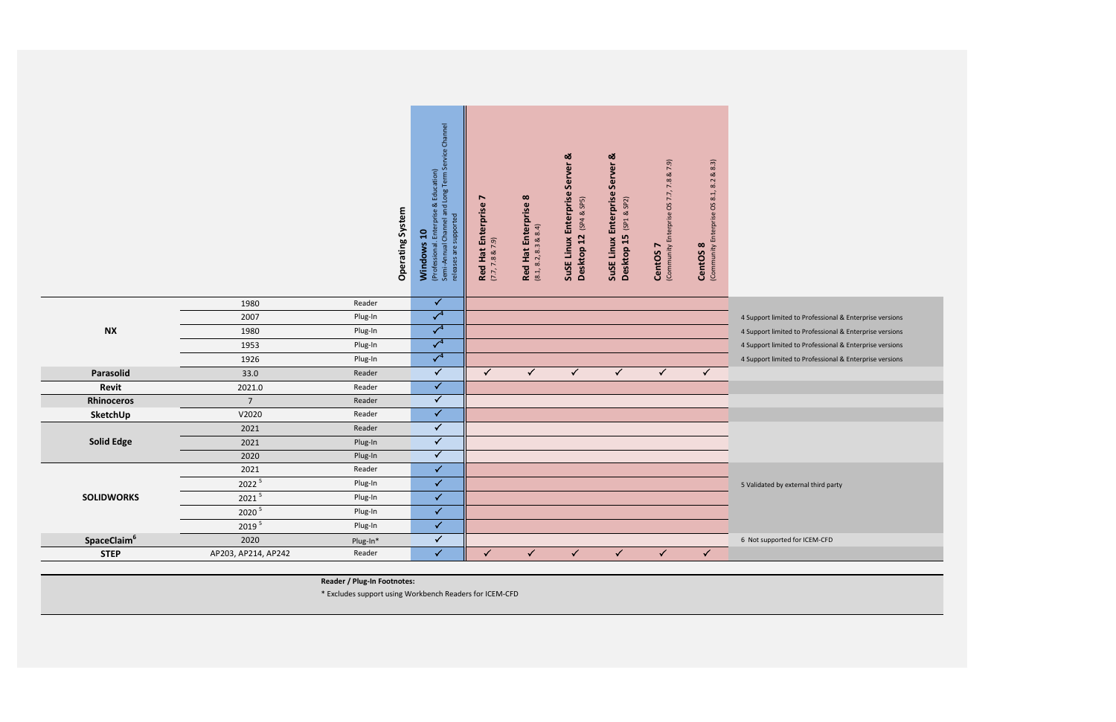| 4 Support limited to Professional & Enterprise versions |
|---------------------------------------------------------|
| 4 Support limited to Professional & Enterprise versions |
| 4 Support limited to Professional & Enterprise versions |
| 4 Support limited to Professional & Enterprise versions |
|                                                         |
|                                                         |
|                                                         |
|                                                         |
|                                                         |
|                                                         |
|                                                         |
|                                                         |
| 5 Validated by external third party                     |
|                                                         |
|                                                         |
|                                                         |
| 6 Not supported for ICEM-CFD                            |
|                                                         |
|                                                         |

|                         |                     |          | Operating System | (Professional. Enterprise & Education)<br>Semi-Annual Channel and Long Term Service Channel<br>releases are supported<br>Windows 10 | Red Hat Enterprise 7<br>(7.7, 7.8 & 7.9) | Red Hat Enterprise 8<br>(8.1, 8.2, 8.3 & 8.4) | SuSE Linux Enterprise Server &<br>Desktop 12 (SP4 & SP5) | ಡ<br>SuSE Linux Enterprise Server<br>Desktop 15 (SP1 & SP2) | & 7.9)<br>7.8<br>(Community Enterprise OS 7.7,<br>CentOS <sub>7</sub> | 8.3)<br>$\infty$<br>8.2<br>OS 8.1,<br>(Community Enterprise<br>CentOS <sub>8</sub> |                                     |
|-------------------------|---------------------|----------|------------------|-------------------------------------------------------------------------------------------------------------------------------------|------------------------------------------|-----------------------------------------------|----------------------------------------------------------|-------------------------------------------------------------|-----------------------------------------------------------------------|------------------------------------------------------------------------------------|-------------------------------------|
|                         | 1980                | Reader   |                  | $\checkmark$                                                                                                                        |                                          |                                               |                                                          |                                                             |                                                                       |                                                                                    |                                     |
|                         | 2007                | Plug-In  |                  | $\overline{\checkmark}^4$                                                                                                           |                                          |                                               |                                                          |                                                             |                                                                       |                                                                                    | 4 Support limited to Professional & |
| <b>NX</b>               | 1980                | Plug-In  |                  | $\overline{\sqrt{4}}$                                                                                                               |                                          |                                               |                                                          |                                                             |                                                                       |                                                                                    | 4 Support limited to Professional & |
|                         | 1953                | Plug-In  |                  | $\overline{\checkmark}^4$                                                                                                           |                                          |                                               |                                                          |                                                             |                                                                       |                                                                                    | 4 Support limited to Professional & |
|                         | 1926                | Plug-In  |                  | $\overline{\sqrt{4}}$                                                                                                               |                                          |                                               |                                                          |                                                             |                                                                       |                                                                                    | 4 Support limited to Professional & |
| Parasolid               | 33.0                | Reader   |                  | $\checkmark$                                                                                                                        | $\checkmark$                             | $\checkmark$                                  | $\checkmark$                                             | $\checkmark$                                                | $\checkmark$                                                          | $\checkmark$                                                                       |                                     |
| Revit                   | 2021.0              | Reader   |                  | $\overline{\checkmark}$                                                                                                             |                                          |                                               |                                                          |                                                             |                                                                       |                                                                                    |                                     |
| Rhinoceros              | $\overline{7}$      | Reader   |                  | $\checkmark$                                                                                                                        |                                          |                                               |                                                          |                                                             |                                                                       |                                                                                    |                                     |
| SketchUp                | V2020               | Reader   |                  | $\checkmark$                                                                                                                        |                                          |                                               |                                                          |                                                             |                                                                       |                                                                                    |                                     |
|                         | 2021                | Reader   |                  | $\checkmark$                                                                                                                        |                                          |                                               |                                                          |                                                             |                                                                       |                                                                                    |                                     |
| <b>Solid Edge</b>       | 2021                | Plug-In  |                  | $\checkmark$                                                                                                                        |                                          |                                               |                                                          |                                                             |                                                                       |                                                                                    |                                     |
|                         | 2020                | Plug-In  |                  | $\overline{\checkmark}$                                                                                                             |                                          |                                               |                                                          |                                                             |                                                                       |                                                                                    |                                     |
|                         | 2021                | Reader   |                  | $\checkmark$                                                                                                                        |                                          |                                               |                                                          |                                                             |                                                                       |                                                                                    |                                     |
|                         | 2022 5              | Plug-In  |                  | $\checkmark$                                                                                                                        |                                          |                                               |                                                          |                                                             |                                                                       |                                                                                    | 5 Validated by external third party |
| <b>SOLIDWORKS</b>       | $2021$ <sup>5</sup> | Plug-In  |                  | $\checkmark$                                                                                                                        |                                          |                                               |                                                          |                                                             |                                                                       |                                                                                    |                                     |
|                         | 2020 5              | Plug-In  |                  | $\checkmark$                                                                                                                        |                                          |                                               |                                                          |                                                             |                                                                       |                                                                                    |                                     |
|                         | 2019 5              | Plug-In  |                  | $\checkmark$                                                                                                                        |                                          |                                               |                                                          |                                                             |                                                                       |                                                                                    |                                     |
| SpaceClaim <sup>6</sup> | 2020                | Plug-In* |                  | $\checkmark$                                                                                                                        |                                          |                                               |                                                          |                                                             |                                                                       |                                                                                    | 6 Not supported for ICEM-CFD        |
| <b>STEP</b>             | AP203, AP214, AP242 | Reader   |                  | $\checkmark$                                                                                                                        | $\checkmark$                             | $\checkmark$                                  | $\checkmark$                                             | $\checkmark$                                                | $\checkmark$                                                          | $\checkmark$                                                                       |                                     |
|                         |                     |          |                  |                                                                                                                                     |                                          |                                               |                                                          |                                                             |                                                                       |                                                                                    |                                     |

**Reader / Plug-In Footnotes:**

\* Excludes support using Workbench Readers for ICEM-CFD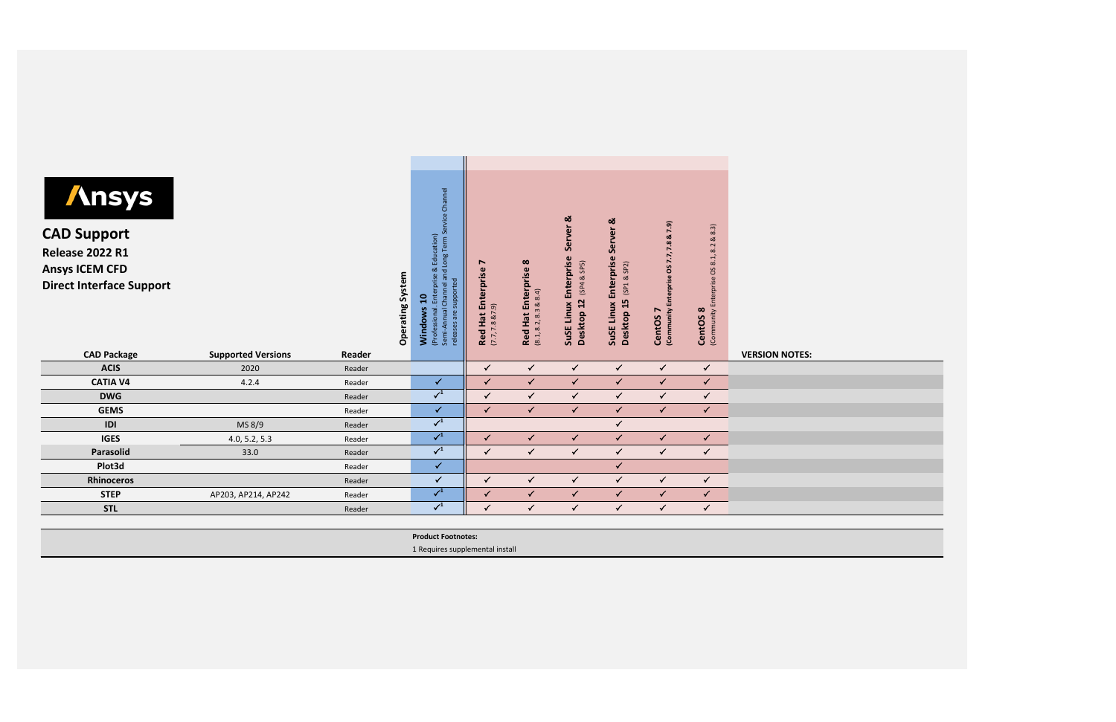| <b>Ansys</b><br><b>CAD Support</b><br><b>Release 2022 R1</b><br><b>Ansys ICEM CFD</b><br><b>Direct Interface Support</b> |                           |        | System<br>Operating | rvice Channel<br>့မ်<br>Education)<br>d Long Term<br>∝<br>ise<br>an<br>supported<br>Ξ<br>Channel<br>Enter<br>$\mathbf{a}$<br>Windows<br>Semi-Annual<br>(Professiona<br>releases are | ↖<br>Enterprise<br>$(7.7, 7.8$ & $7.9)$<br><b>Red Hat</b> | Enterprise 8<br>$(8.1, 8.2, 8.3 \& 8.4)$<br><b>Red Hat</b> | Server <sub>&amp;</sub><br>Enterprise<br>SP5)<br>ಷ<br>(SP4)<br>12<br>SuSE Linux<br>Desktop | ఱ<br>Server<br>Enterprise<br>(SP1 & SP2)<br>Desktop 15<br>SuSE Linux | 7.9)<br>ಡ<br>7.8<br>7.7,<br><b>SO</b><br>Enterprise<br>(Community<br>CentOS <sub>7</sub> | 8.3)<br>$\infty$<br>8.2<br>8.1,<br>(Community Enterprise OS<br>CentOS <sub>8</sub> |                       |
|--------------------------------------------------------------------------------------------------------------------------|---------------------------|--------|---------------------|-------------------------------------------------------------------------------------------------------------------------------------------------------------------------------------|-----------------------------------------------------------|------------------------------------------------------------|--------------------------------------------------------------------------------------------|----------------------------------------------------------------------|------------------------------------------------------------------------------------------|------------------------------------------------------------------------------------|-----------------------|
| <b>CAD Package</b>                                                                                                       | <b>Supported Versions</b> | Reader |                     |                                                                                                                                                                                     |                                                           |                                                            |                                                                                            |                                                                      |                                                                                          |                                                                                    | <b>VERSION NOTES:</b> |
| <b>ACIS</b>                                                                                                              | 2020                      | Reader |                     |                                                                                                                                                                                     | $\checkmark$                                              | $\checkmark$                                               | $\checkmark$                                                                               | $\checkmark$                                                         | $\checkmark$                                                                             | $\checkmark$                                                                       |                       |
| <b>CATIA V4</b>                                                                                                          | 4.2.4                     | Reader |                     | $\checkmark$                                                                                                                                                                        | $\checkmark$                                              | $\checkmark$                                               | $\checkmark$                                                                               | $\checkmark$                                                         | $\checkmark$                                                                             | $\checkmark$                                                                       |                       |
|                                                                                                                          |                           |        |                     |                                                                                                                                                                                     |                                                           |                                                            |                                                                                            |                                                                      |                                                                                          |                                                                                    |                       |
| <b>DWG</b>                                                                                                               |                           | Reader |                     | $\surd\phantom{0}^1$                                                                                                                                                                | $\checkmark$                                              | $\checkmark$                                               | $\checkmark$                                                                               | $\checkmark$                                                         | $\checkmark$                                                                             | $\checkmark$                                                                       |                       |
| <b>GEMS</b>                                                                                                              |                           | Reader |                     | ✓                                                                                                                                                                                   | $\checkmark$                                              | $\checkmark$                                               | $\checkmark$                                                                               | $\checkmark$                                                         | $\checkmark$                                                                             | $\checkmark$                                                                       |                       |
| IDI                                                                                                                      | MS 8/9                    | Reader |                     | $\checkmark^1$                                                                                                                                                                      |                                                           |                                                            |                                                                                            | $\checkmark$                                                         |                                                                                          |                                                                                    |                       |
| <b>IGES</b>                                                                                                              | 4.0, 5.2, 5.3             | Reader |                     | $\surd\phantom{0}^1$                                                                                                                                                                | $\checkmark$                                              | $\checkmark$                                               | $\checkmark$                                                                               | $\checkmark$                                                         | $\checkmark$                                                                             | $\checkmark$                                                                       |                       |
| Parasolid                                                                                                                | 33.0                      | Reader |                     | $\checkmark^1$                                                                                                                                                                      | $\checkmark$                                              | $\checkmark$                                               | $\checkmark$                                                                               | $\checkmark$                                                         | $\checkmark$                                                                             | $\checkmark$                                                                       |                       |
| Plot3d                                                                                                                   |                           | Reader |                     | $\checkmark$                                                                                                                                                                        |                                                           |                                                            |                                                                                            | $\checkmark$                                                         |                                                                                          |                                                                                    |                       |
| <b>Rhinoceros</b>                                                                                                        |                           | Reader |                     | ✓                                                                                                                                                                                   | $\checkmark$                                              | $\checkmark$                                               | $\checkmark$                                                                               | $\checkmark$                                                         | $\checkmark$                                                                             | $\checkmark$                                                                       |                       |
| <b>STEP</b>                                                                                                              | AP203, AP214, AP242       | Reader |                     | $\surd\phantom{0}^1$                                                                                                                                                                | $\checkmark$                                              | $\checkmark$                                               | $\checkmark$                                                                               | $\checkmark$                                                         | $\checkmark$                                                                             | $\checkmark$                                                                       |                       |
| <b>STL</b>                                                                                                               |                           | Reader |                     | $\checkmark^1$                                                                                                                                                                      | $\checkmark$                                              | $\checkmark$                                               | $\checkmark$                                                                               | $\checkmark$                                                         | $\checkmark$                                                                             | $\checkmark$                                                                       |                       |

**Product Footnotes:** 1 Requires supplemental install

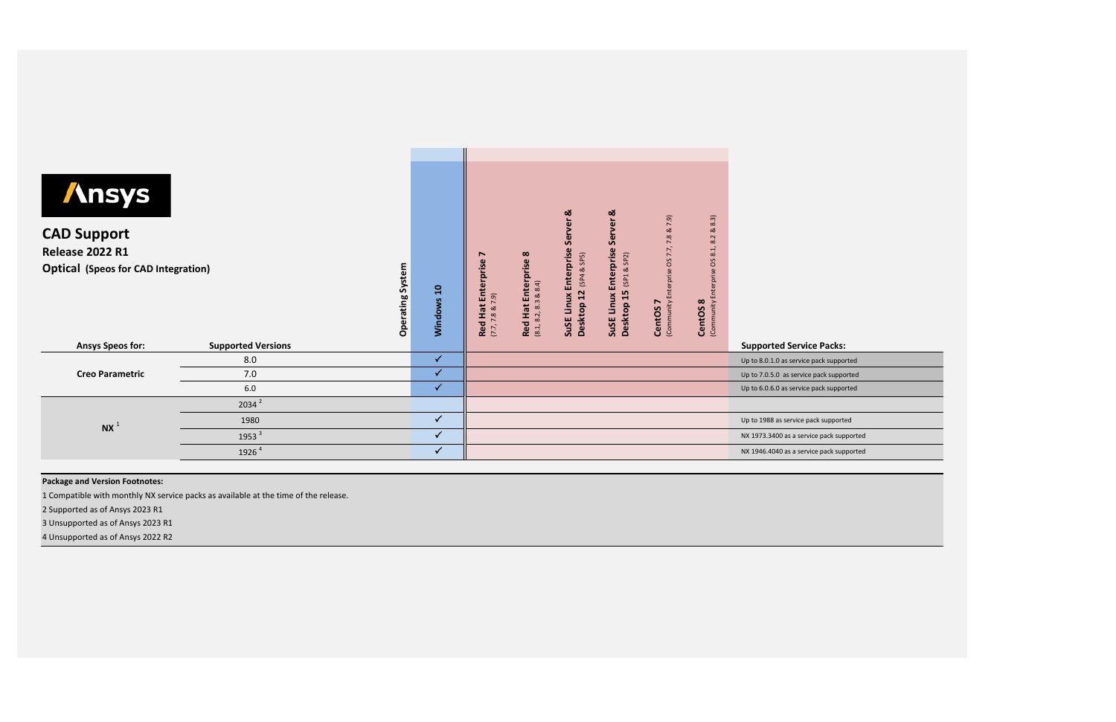| terprise OS 7.7,<br>8.1,<br>Enterprise<br>Enterprise<br><b>Release 2022 R1</b><br><b>Red Hat Enterprise 8</b><br>r<br>SP5)<br>SP2)<br>SO<br>Enterprise<br>System<br><b>Optical (Speos for CAD Integration)</b><br>(SP4 &<br>ಷ<br>terprise<br>(SP1)<br>88.4)<br>$\overline{a}$<br>12<br>15<br>SuSE Linux<br>品<br>SuSE Linux<br>(7.7, 7.8 & 7.9)<br>Operating<br>Windows<br>CentOS <sub>8</sub><br>(8.1, 8.2, 8.3)<br>(Community<br>(Community<br>r<br><b>Desktop</b><br>Desktop<br><b>Red Hat</b><br>CentOS |                                         |
|------------------------------------------------------------------------------------------------------------------------------------------------------------------------------------------------------------------------------------------------------------------------------------------------------------------------------------------------------------------------------------------------------------------------------------------------------------------------------------------------------------|-----------------------------------------|
| <b>Ansys Speos for:</b><br><b>Supported Versions</b><br><b>Supported Service Packs:</b>                                                                                                                                                                                                                                                                                                                                                                                                                    |                                         |
| $\checkmark$<br>8.0                                                                                                                                                                                                                                                                                                                                                                                                                                                                                        | Up to 8.0.1.0 as service pack supported |
| $\checkmark$<br><b>Creo Parametric</b><br>7.0                                                                                                                                                                                                                                                                                                                                                                                                                                                              | Up to 7.0.5.0 as service pack supported |
| $\checkmark$<br>6.0                                                                                                                                                                                                                                                                                                                                                                                                                                                                                        | Up to 6.0.6.0 as service pack supported |
| $2034^2$                                                                                                                                                                                                                                                                                                                                                                                                                                                                                                   |                                         |
| $\checkmark$<br>1980<br>Up to 1988 as service pack supported<br>NX <sup>1</sup>                                                                                                                                                                                                                                                                                                                                                                                                                            |                                         |
| $\checkmark$<br>1953 <sup>3</sup>                                                                                                                                                                                                                                                                                                                                                                                                                                                                          | NX 1973.3400 as a service pack suppor   |
| $\checkmark$<br>1926 <sup>4</sup>                                                                                                                                                                                                                                                                                                                                                                                                                                                                          | NX 1946.4040 as a service pack support  |

## **Package and Version Footnotes:**

1 Compatible with monthly NX service packs as available at the time of the release.

2 Supported as of Ansys 2023 R1

3 Unsupported as of Ansys 2023 R1

4 Unsupported as of Ansys 2022 R2

pack supported

e pack supported

e pack supported